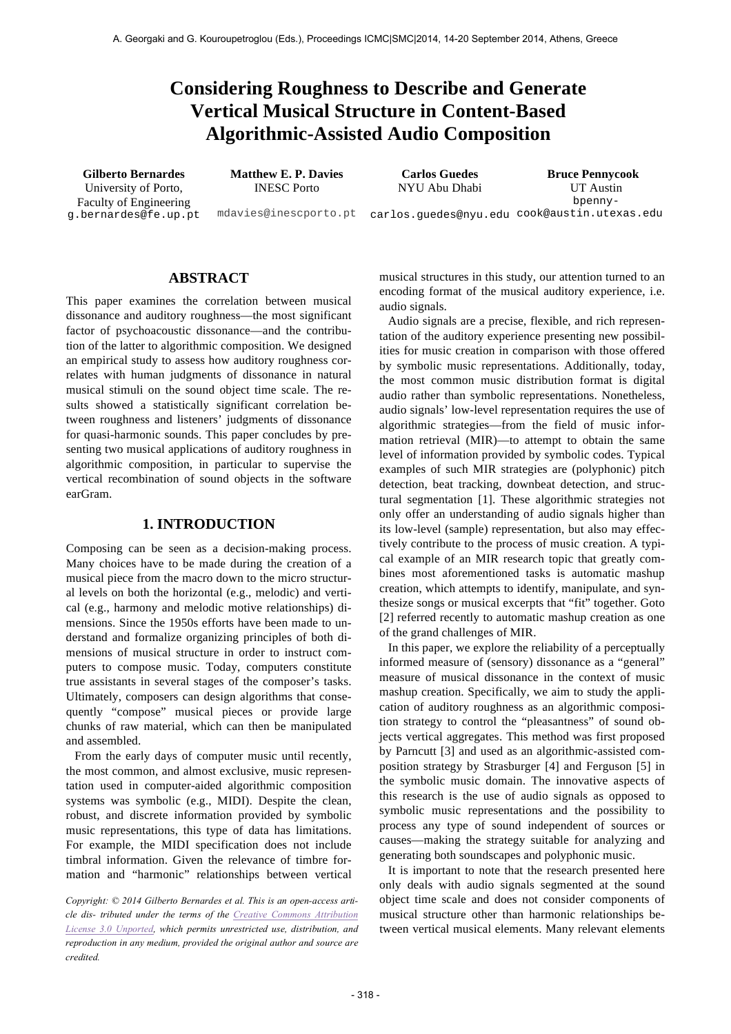# **Considering Roughness to Describe and Generate Vertical Musical Structure in Content-Based Algorithmic-Assisted Audio Composition**

University of Porto, Faculty of Engineering g.bernardes@fe.up.pt INESC Porto

NYU Abu Dhabi

**Gilberto Bernardes Matthew E. P. Davies Carlos Guedes Bruce Pennycook** mdavies@inescporto.pt carlos.guedes@nyu.edu cook@austin.utexas.edu UT Austin bpenny-

**ABSTRACT** 

This paper examines the correlation between musical dissonance and auditory roughness—the most significant factor of psychoacoustic dissonance—and the contribution of the latter to algorithmic composition. We designed an empirical study to assess how auditory roughness correlates with human judgments of dissonance in natural musical stimuli on the sound object time scale. The results showed a statistically significant correlation between roughness and listeners' judgments of dissonance for quasi-harmonic sounds. This paper concludes by presenting two musical applications of auditory roughness in algorithmic composition, in particular to supervise the vertical recombination of sound objects in the software earGram.

#### **1. INTRODUCTION**

Composing can be seen as a decision-making process. Many choices have to be made during the creation of a musical piece from the macro down to the micro structural levels on both the horizontal (e.g., melodic) and vertical (e.g., harmony and melodic motive relationships) dimensions. Since the 1950s efforts have been made to understand and formalize organizing principles of both dimensions of musical structure in order to instruct computers to compose music. Today, computers constitute true assistants in several stages of the composer's tasks. Ultimately, composers can design algorithms that consequently "compose" musical pieces or provide large chunks of raw material, which can then be manipulated and assembled.

From the early days of computer music until recently, the most common, and almost exclusive, music representation used in computer-aided algorithmic composition systems was symbolic (e.g., MIDI). Despite the clean, robust, and discrete information provided by symbolic music representations, this type of data has limitations. For example, the MIDI specification does not include timbral information. Given the relevance of timbre formation and "harmonic" relationships between vertical

*Copyright: © 2014 Gilberto Bernardes et al. This is an open-access article dis- tributed under the terms of the Creative Commons Attribution License 3.0 Unported, which permits unrestricted use, distribution, and reproduction in any medium, provided the original author and source are credited.*

musical structures in this study, our attention turned to an encoding format of the musical auditory experience, i.e. audio signals.

Audio signals are a precise, flexible, and rich representation of the auditory experience presenting new possibilities for music creation in comparison with those offered by symbolic music representations. Additionally, today, the most common music distribution format is digital audio rather than symbolic representations. Nonetheless, audio signals' low-level representation requires the use of algorithmic strategies—from the field of music information retrieval (MIR)—to attempt to obtain the same level of information provided by symbolic codes. Typical examples of such MIR strategies are (polyphonic) pitch detection, beat tracking, downbeat detection, and structural segmentation [1]. These algorithmic strategies not only offer an understanding of audio signals higher than its low-level (sample) representation, but also may effectively contribute to the process of music creation. A typical example of an MIR research topic that greatly combines most aforementioned tasks is automatic mashup creation, which attempts to identify, manipulate, and synthesize songs or musical excerpts that "fit" together. Goto [2] referred recently to automatic mashup creation as one of the grand challenges of MIR.

In this paper, we explore the reliability of a perceptually informed measure of (sensory) dissonance as a "general" measure of musical dissonance in the context of music mashup creation. Specifically, we aim to study the application of auditory roughness as an algorithmic composition strategy to control the "pleasantness" of sound objects vertical aggregates. This method was first proposed by Parncutt [3] and used as an algorithmic-assisted composition strategy by Strasburger [4] and Ferguson [5] in the symbolic music domain. The innovative aspects of this research is the use of audio signals as opposed to symbolic music representations and the possibility to process any type of sound independent of sources or causes—making the strategy suitable for analyzing and generating both soundscapes and polyphonic music.

It is important to note that the research presented here only deals with audio signals segmented at the sound object time scale and does not consider components of musical structure other than harmonic relationships between vertical musical elements. Many relevant elements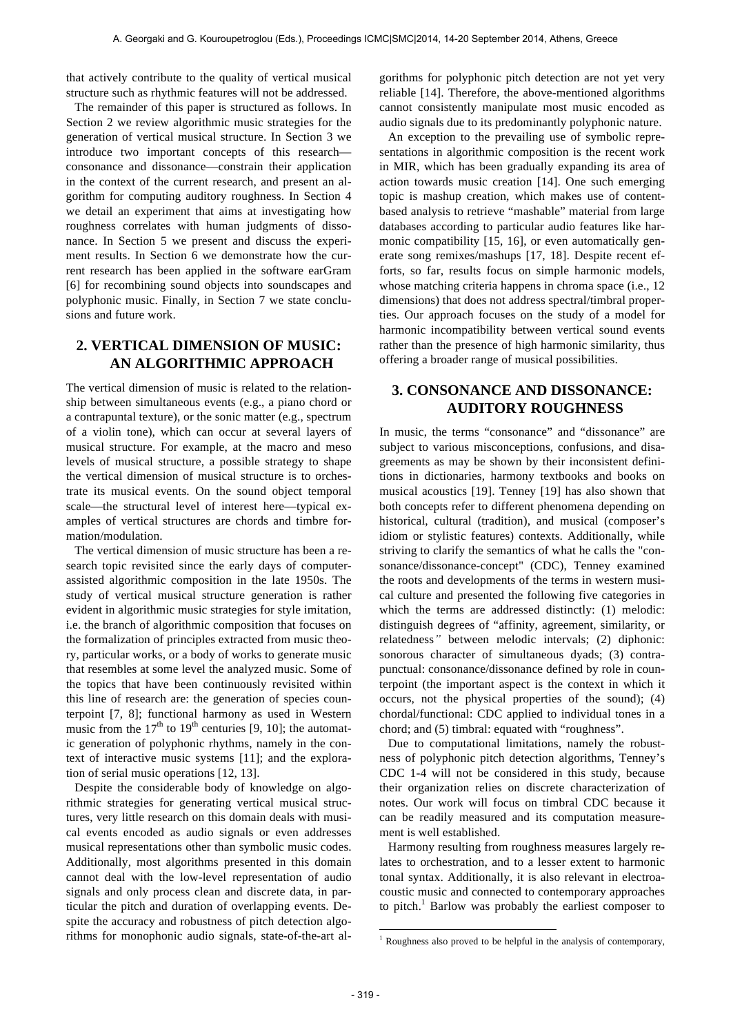that actively contribute to the quality of vertical musical structure such as rhythmic features will not be addressed.

The remainder of this paper is structured as follows. In Section 2 we review algorithmic music strategies for the generation of vertical musical structure. In Section 3 we introduce two important concepts of this research consonance and dissonance—constrain their application in the context of the current research, and present an algorithm for computing auditory roughness. In Section 4 we detail an experiment that aims at investigating how roughness correlates with human judgments of dissonance. In Section 5 we present and discuss the experiment results. In Section 6 we demonstrate how the current research has been applied in the software earGram [6] for recombining sound objects into soundscapes and polyphonic music. Finally, in Section 7 we state conclusions and future work.

# **2. VERTICAL DIMENSION OF MUSIC: AN ALGORITHMIC APPROACH**

The vertical dimension of music is related to the relationship between simultaneous events (e.g., a piano chord or a contrapuntal texture), or the sonic matter (e.g., spectrum of a violin tone), which can occur at several layers of musical structure. For example, at the macro and meso levels of musical structure, a possible strategy to shape the vertical dimension of musical structure is to orchestrate its musical events. On the sound object temporal scale—the structural level of interest here—typical examples of vertical structures are chords and timbre formation/modulation.

The vertical dimension of music structure has been a research topic revisited since the early days of computerassisted algorithmic composition in the late 1950s. The study of vertical musical structure generation is rather evident in algorithmic music strategies for style imitation, i.e. the branch of algorithmic composition that focuses on the formalization of principles extracted from music theory, particular works, or a body of works to generate music that resembles at some level the analyzed music. Some of the topics that have been continuously revisited within this line of research are: the generation of species counterpoint [7, 8]; functional harmony as used in Western music from the  $17<sup>th</sup>$  to  $19<sup>th</sup>$  centuries [9, 10]; the automatic generation of polyphonic rhythms, namely in the context of interactive music systems [11]; and the exploration of serial music operations [12, 13].

Despite the considerable body of knowledge on algorithmic strategies for generating vertical musical structures, very little research on this domain deals with musical events encoded as audio signals or even addresses musical representations other than symbolic music codes. Additionally, most algorithms presented in this domain cannot deal with the low-level representation of audio signals and only process clean and discrete data, in particular the pitch and duration of overlapping events. Despite the accuracy and robustness of pitch detection algorithms for monophonic audio signals, state-of-the-art algorithms for polyphonic pitch detection are not yet very reliable [14]. Therefore, the above-mentioned algorithms cannot consistently manipulate most music encoded as audio signals due to its predominantly polyphonic nature.

An exception to the prevailing use of symbolic representations in algorithmic composition is the recent work in MIR, which has been gradually expanding its area of action towards music creation [14]. One such emerging topic is mashup creation, which makes use of contentbased analysis to retrieve "mashable" material from large databases according to particular audio features like harmonic compatibility [15, 16], or even automatically generate song remixes/mashups [17, 18]. Despite recent efforts, so far, results focus on simple harmonic models, whose matching criteria happens in chroma space (i.e., 12) dimensions) that does not address spectral/timbral properties. Our approach focuses on the study of a model for harmonic incompatibility between vertical sound events rather than the presence of high harmonic similarity, thus offering a broader range of musical possibilities.

## **3. CONSONANCE AND DISSONANCE: AUDITORY ROUGHNESS**

In music, the terms "consonance" and "dissonance" are subject to various misconceptions, confusions, and disagreements as may be shown by their inconsistent definitions in dictionaries, harmony textbooks and books on musical acoustics [19]. Tenney [19] has also shown that both concepts refer to different phenomena depending on historical, cultural (tradition), and musical (composer's idiom or stylistic features) contexts. Additionally, while striving to clarify the semantics of what he calls the "consonance/dissonance-concept" (CDC), Tenney examined the roots and developments of the terms in western musical culture and presented the following five categories in which the terms are addressed distinctly: (1) melodic: distinguish degrees of "affinity, agreement, similarity, or relatedness*"* between melodic intervals; (2) diphonic: sonorous character of simultaneous dyads; (3) contrapunctual: consonance/dissonance defined by role in counterpoint (the important aspect is the context in which it occurs, not the physical properties of the sound); (4) chordal/functional: CDC applied to individual tones in a chord; and (5) timbral: equated with "roughness".

Due to computational limitations, namely the robustness of polyphonic pitch detection algorithms, Tenney's CDC 1-4 will not be considered in this study, because their organization relies on discrete characterization of notes. Our work will focus on timbral CDC because it can be readily measured and its computation measurement is well established.

Harmony resulting from roughness measures largely relates to orchestration, and to a lesser extent to harmonic tonal syntax. Additionally, it is also relevant in electroacoustic music and connected to contemporary approaches to pitch.<sup>1</sup> Barlow was probably the earliest composer to

l

 $1$  Roughness also proved to be helpful in the analysis of contemporary,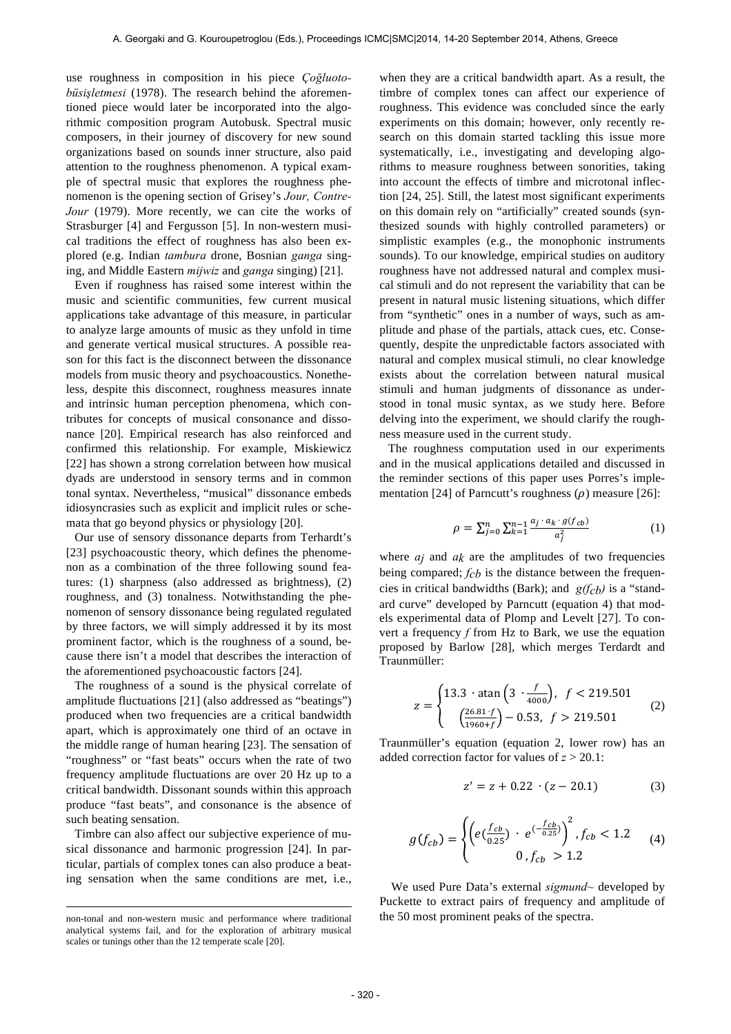use roughness in composition in his piece *Çoğluotobüsişletmesi* (1978). The research behind the aforementioned piece would later be incorporated into the algorithmic composition program Autobusk. Spectral music composers, in their journey of discovery for new sound organizations based on sounds inner structure, also paid attention to the roughness phenomenon. A typical example of spectral music that explores the roughness phenomenon is the opening section of Grisey's *Jour, Contre-Jour* (1979). More recently, we can cite the works of Strasburger [4] and Fergusson [5]. In non-western musical traditions the effect of roughness has also been explored (e.g. Indian *tambura* drone, Bosnian *ganga* singing, and Middle Eastern *mijwiz* and *ganga* singing) [21].

Even if roughness has raised some interest within the music and scientific communities, few current musical applications take advantage of this measure, in particular to analyze large amounts of music as they unfold in time and generate vertical musical structures. A possible reason for this fact is the disconnect between the dissonance models from music theory and psychoacoustics. Nonetheless, despite this disconnect, roughness measures innate and intrinsic human perception phenomena, which contributes for concepts of musical consonance and dissonance [20]. Empirical research has also reinforced and confirmed this relationship. For example, Miskiewicz [22] has shown a strong correlation between how musical dyads are understood in sensory terms and in common tonal syntax. Nevertheless, "musical" dissonance embeds idiosyncrasies such as explicit and implicit rules or schemata that go beyond physics or physiology [20].

Our use of sensory dissonance departs from Terhardt's [23] psychoacoustic theory, which defines the phenomenon as a combination of the three following sound features: (1) sharpness (also addressed as brightness), (2) roughness, and (3) tonalness. Notwithstanding the phenomenon of sensory dissonance being regulated regulated by three factors, we will simply addressed it by its most prominent factor, which is the roughness of a sound, because there isn't a model that describes the interaction of the aforementioned psychoacoustic factors [24].

The roughness of a sound is the physical correlate of amplitude fluctuations [21] (also addressed as "beatings") produced when two frequencies are a critical bandwidth apart, which is approximately one third of an octave in the middle range of human hearing [23]. The sensation of "roughness" or "fast beats" occurs when the rate of two frequency amplitude fluctuations are over 20 Hz up to a critical bandwidth. Dissonant sounds within this approach produce "fast beats", and consonance is the absence of such beating sensation.

Timbre can also affect our subjective experience of musical dissonance and harmonic progression [24]. In particular, partials of complex tones can also produce a beating sensation when the same conditions are met, i.e.,

l

when they are a critical bandwidth apart. As a result, the timbre of complex tones can affect our experience of roughness. This evidence was concluded since the early experiments on this domain; however, only recently research on this domain started tackling this issue more systematically, i.e., investigating and developing algorithms to measure roughness between sonorities, taking into account the effects of timbre and microtonal inflection [24, 25]. Still, the latest most significant experiments on this domain rely on "artificially" created sounds (synthesized sounds with highly controlled parameters) or simplistic examples (e.g., the monophonic instruments sounds). To our knowledge, empirical studies on auditory roughness have not addressed natural and complex musical stimuli and do not represent the variability that can be present in natural music listening situations, which differ from "synthetic" ones in a number of ways, such as amplitude and phase of the partials, attack cues, etc. Consequently, despite the unpredictable factors associated with natural and complex musical stimuli, no clear knowledge exists about the correlation between natural musical stimuli and human judgments of dissonance as understood in tonal music syntax, as we study here. Before delving into the experiment, we should clarify the roughness measure used in the current study.

The roughness computation used in our experiments and in the musical applications detailed and discussed in the reminder sections of this paper uses Porres's implementation [24] of Parncutt's roughness  $(\rho)$  measure [26]:

$$
\rho = \sum_{j=0}^{n} \sum_{k=1}^{n-1} \frac{a_j \cdot a_k \cdot g(f_{cb})}{a_j^2} \tag{1}
$$

where  $a_j$  and  $a_k$  are the amplitudes of two frequencies being compared; *fcb* is the distance between the frequencies in critical bandwidths (Bark); and *g(fcb)* is a "standard curve" developed by Parncutt (equation 4) that models experimental data of Plomp and Levelt [27]. To convert a frequency *f* from Hz to Bark, we use the equation proposed by Barlow [28], which merges Terdardt and Traunmüller:

$$
z = \begin{cases} 13.3 \cdot \operatorname{atan}\left(3 \cdot \frac{f}{4000}\right), & f < 219.501\\ \left(\frac{26.81 \cdot f}{1960 + f}\right) - 0.53, & f > 219.501 \end{cases} \tag{2}
$$

Traunmüller's equation (equation 2, lower row) has an added correction factor for values of *z* > 20.1:

$$
z' = z + 0.22 \cdot (z - 20.1) \tag{3}
$$

$$
g(f_{cb}) = \begin{cases} \left(e(\frac{f_{cb}}{0.25}) + e^{(-\frac{f_{cb}}{0.25})}\right)^2, f_{cb} < 1.2\\ 0, f_{cb} > 1.2 \end{cases} \tag{4}
$$

We used Pure Data's external *sigmund~* developed by Puckette to extract pairs of frequency and amplitude of the 50 most prominent peaks of the spectra.

non-tonal and non-western music and performance where traditional analytical systems fail, and for the exploration of arbitrary musical scales or tunings other than the 12 temperate scale [20].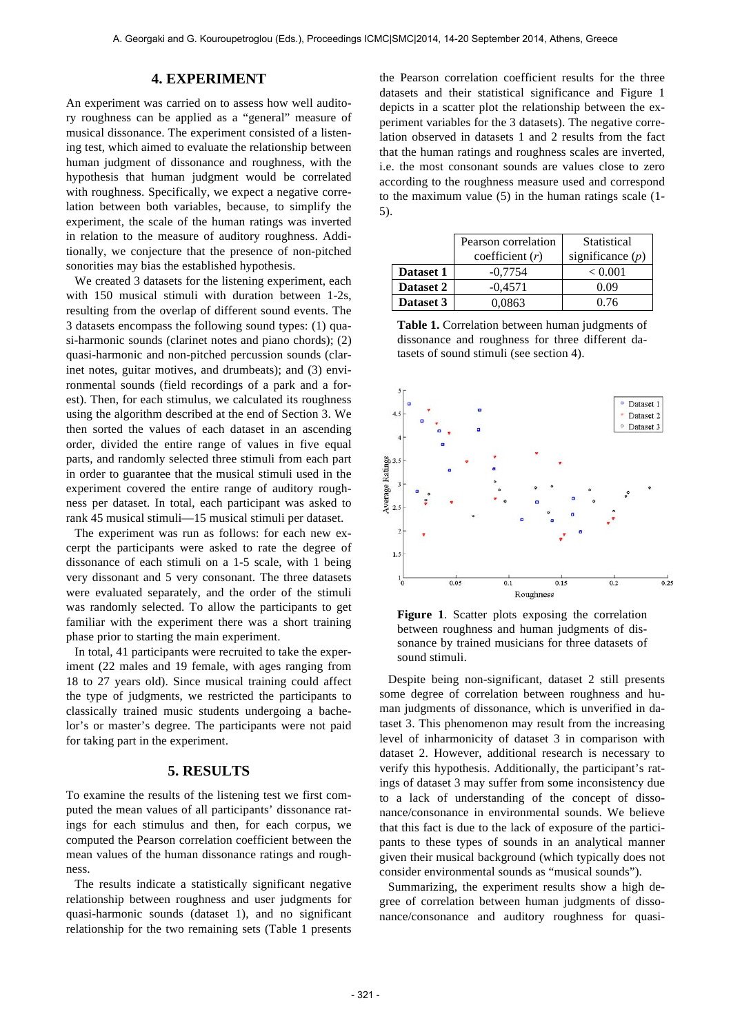## **4. EXPERIMENT**

An experiment was carried on to assess how well auditory roughness can be applied as a "general" measure of musical dissonance. The experiment consisted of a listening test, which aimed to evaluate the relationship between human judgment of dissonance and roughness, with the hypothesis that human judgment would be correlated with roughness. Specifically, we expect a negative correlation between both variables, because, to simplify the experiment, the scale of the human ratings was inverted in relation to the measure of auditory roughness. Additionally, we conjecture that the presence of non-pitched sonorities may bias the established hypothesis.

We created 3 datasets for the listening experiment, each with 150 musical stimuli with duration between 1-2s, resulting from the overlap of different sound events. The 3 datasets encompass the following sound types: (1) quasi-harmonic sounds (clarinet notes and piano chords); (2) quasi-harmonic and non-pitched percussion sounds (clarinet notes, guitar motives, and drumbeats); and (3) environmental sounds (field recordings of a park and a forest). Then, for each stimulus, we calculated its roughness using the algorithm described at the end of Section 3. We then sorted the values of each dataset in an ascending order, divided the entire range of values in five equal parts, and randomly selected three stimuli from each part in order to guarantee that the musical stimuli used in the experiment covered the entire range of auditory roughness per dataset. In total, each participant was asked to rank 45 musical stimuli—15 musical stimuli per dataset.

The experiment was run as follows: for each new excerpt the participants were asked to rate the degree of dissonance of each stimuli on a 1-5 scale, with 1 being very dissonant and 5 very consonant. The three datasets were evaluated separately, and the order of the stimuli was randomly selected. To allow the participants to get familiar with the experiment there was a short training phase prior to starting the main experiment.

In total, 41 participants were recruited to take the experiment (22 males and 19 female, with ages ranging from 18 to 27 years old). Since musical training could affect the type of judgments, we restricted the participants to classically trained music students undergoing a bachelor's or master's degree. The participants were not paid for taking part in the experiment.

## **5. RESULTS**

To examine the results of the listening test we first computed the mean values of all participants' dissonance ratings for each stimulus and then, for each corpus, we computed the Pearson correlation coefficient between the mean values of the human dissonance ratings and roughness.

The results indicate a statistically significant negative relationship between roughness and user judgments for quasi-harmonic sounds (dataset 1), and no significant relationship for the two remaining sets (Table 1 presents the Pearson correlation coefficient results for the three datasets and their statistical significance and Figure 1 depicts in a scatter plot the relationship between the experiment variables for the 3 datasets). The negative correlation observed in datasets 1 and 2 results from the fact that the human ratings and roughness scales are inverted, i.e. the most consonant sounds are values close to zero according to the roughness measure used and correspond to the maximum value (5) in the human ratings scale (1- 5).

|           | Pearson correlation | Statistical        |
|-----------|---------------------|--------------------|
|           | coefficient $(r)$   | significance $(p)$ |
| Dataset 1 | $-0.7754$           | ${}< 0.001$        |
| Dataset 2 | $-0.4571$           | 0.09               |
| Dataset 3 | 0.0863              | 0.76               |

**Table 1.** Correlation between human judgments of dissonance and roughness for three different datasets of sound stimuli (see section 4).



**Figure 1**. Scatter plots exposing the correlation between roughness and human judgments of dissonance by trained musicians for three datasets of sound stimuli.

Despite being non-significant, dataset 2 still presents some degree of correlation between roughness and human judgments of dissonance, which is unverified in dataset 3. This phenomenon may result from the increasing level of inharmonicity of dataset 3 in comparison with dataset 2. However, additional research is necessary to verify this hypothesis. Additionally, the participant's ratings of dataset 3 may suffer from some inconsistency due to a lack of understanding of the concept of dissonance/consonance in environmental sounds. We believe that this fact is due to the lack of exposure of the participants to these types of sounds in an analytical manner given their musical background (which typically does not consider environmental sounds as "musical sounds").

Summarizing, the experiment results show a high degree of correlation between human judgments of dissonance/consonance and auditory roughness for quasi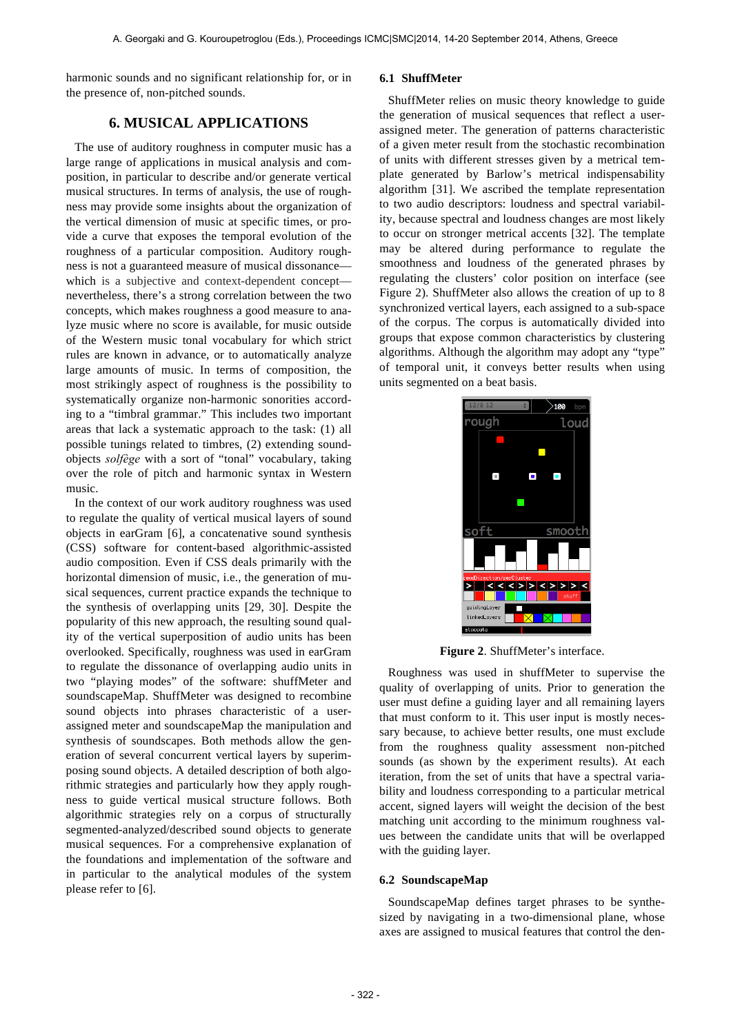harmonic sounds and no significant relationship for, or in the presence of, non-pitched sounds.

## **6. MUSICAL APPLICATIONS**

The use of auditory roughness in computer music has a large range of applications in musical analysis and composition, in particular to describe and/or generate vertical musical structures. In terms of analysis, the use of roughness may provide some insights about the organization of the vertical dimension of music at specific times, or provide a curve that exposes the temporal evolution of the roughness of a particular composition. Auditory roughness is not a guaranteed measure of musical dissonance which is a subjective and context-dependent concept nevertheless, there's a strong correlation between the two concepts, which makes roughness a good measure to analyze music where no score is available, for music outside of the Western music tonal vocabulary for which strict rules are known in advance, or to automatically analyze large amounts of music. In terms of composition, the most strikingly aspect of roughness is the possibility to systematically organize non-harmonic sonorities according to a "timbral grammar." This includes two important areas that lack a systematic approach to the task: (1) all possible tunings related to timbres, (2) extending soundobjects *solfège* with a sort of "tonal" vocabulary, taking over the role of pitch and harmonic syntax in Western music.

In the context of our work auditory roughness was used to regulate the quality of vertical musical layers of sound objects in earGram [6], a concatenative sound synthesis (CSS) software for content-based algorithmic-assisted audio composition. Even if CSS deals primarily with the horizontal dimension of music, i.e., the generation of musical sequences, current practice expands the technique to the synthesis of overlapping units [29, 30]. Despite the popularity of this new approach, the resulting sound quality of the vertical superposition of audio units has been overlooked. Specifically, roughness was used in earGram to regulate the dissonance of overlapping audio units in two "playing modes" of the software: shuffMeter and soundscapeMap. ShuffMeter was designed to recombine sound objects into phrases characteristic of a userassigned meter and soundscapeMap the manipulation and synthesis of soundscapes. Both methods allow the generation of several concurrent vertical layers by superimposing sound objects. A detailed description of both algorithmic strategies and particularly how they apply roughness to guide vertical musical structure follows. Both algorithmic strategies rely on a corpus of structurally segmented-analyzed/described sound objects to generate musical sequences. For a comprehensive explanation of the foundations and implementation of the software and in particular to the analytical modules of the system please refer to [6].

#### **6.1 ShuffMeter**

ShuffMeter relies on music theory knowledge to guide the generation of musical sequences that reflect a userassigned meter. The generation of patterns characteristic of a given meter result from the stochastic recombination of units with different stresses given by a metrical template generated by Barlow's metrical indispensability algorithm [31]. We ascribed the template representation to two audio descriptors: loudness and spectral variability, because spectral and loudness changes are most likely to occur on stronger metrical accents [32]. The template may be altered during performance to regulate the smoothness and loudness of the generated phrases by regulating the clusters' color position on interface (see Figure 2). ShuffMeter also allows the creation of up to 8 synchronized vertical layers, each assigned to a sub-space of the corpus. The corpus is automatically divided into groups that expose common characteristics by clustering algorithms. Although the algorithm may adopt any "type" of temporal unit, it conveys better results when using units segmented on a beat basis.



**Figure 2**. ShuffMeter's interface.

Roughness was used in shuffMeter to supervise the quality of overlapping of units. Prior to generation the user must define a guiding layer and all remaining layers that must conform to it. This user input is mostly necessary because, to achieve better results, one must exclude from the roughness quality assessment non-pitched sounds (as shown by the experiment results). At each iteration, from the set of units that have a spectral variability and loudness corresponding to a particular metrical accent, signed layers will weight the decision of the best matching unit according to the minimum roughness values between the candidate units that will be overlapped with the guiding layer.

#### **6.2 SoundscapeMap**

SoundscapeMap defines target phrases to be synthesized by navigating in a two-dimensional plane, whose axes are assigned to musical features that control the den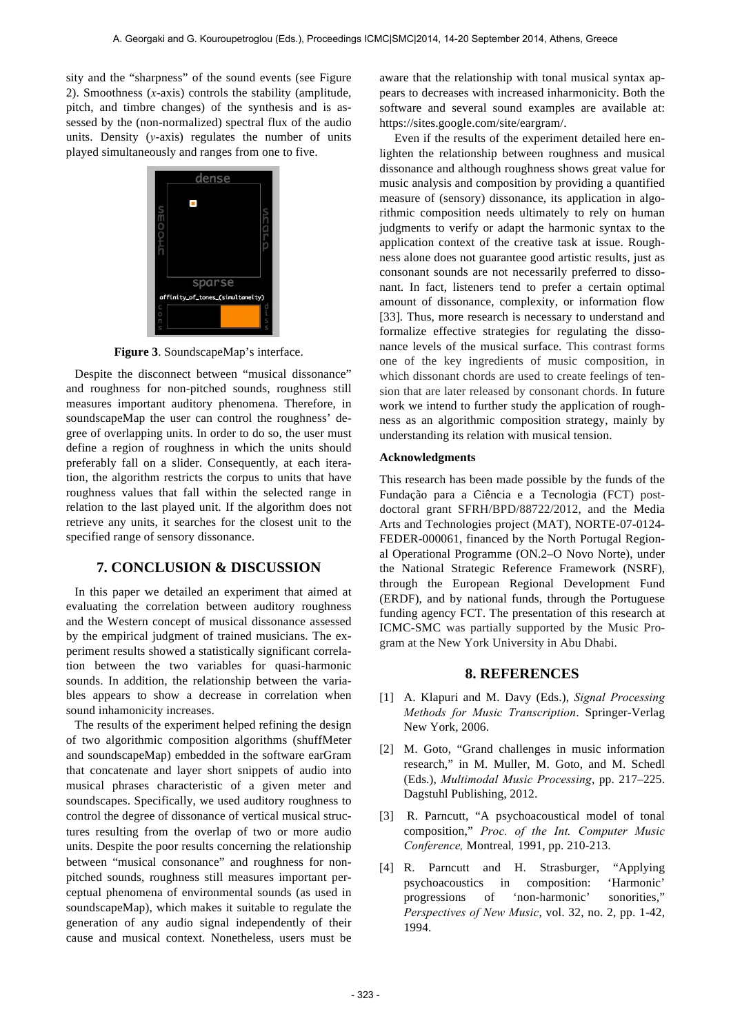sity and the "sharpness" of the sound events (see Figure 2). Smoothness (*x*-axis) controls the stability (amplitude, pitch, and timbre changes) of the synthesis and is assessed by the (non-normalized) spectral flux of the audio units. Density (*y*-axis) regulates the number of units played simultaneously and ranges from one to five.



**Figure 3**. SoundscapeMap's interface.

Despite the disconnect between "musical dissonance" and roughness for non-pitched sounds, roughness still measures important auditory phenomena. Therefore, in soundscapeMap the user can control the roughness' degree of overlapping units. In order to do so, the user must define a region of roughness in which the units should preferably fall on a slider. Consequently, at each iteration, the algorithm restricts the corpus to units that have roughness values that fall within the selected range in relation to the last played unit. If the algorithm does not retrieve any units, it searches for the closest unit to the specified range of sensory dissonance.

## **7. CONCLUSION & DISCUSSION**

In this paper we detailed an experiment that aimed at evaluating the correlation between auditory roughness and the Western concept of musical dissonance assessed by the empirical judgment of trained musicians. The experiment results showed a statistically significant correlation between the two variables for quasi-harmonic sounds. In addition, the relationship between the variables appears to show a decrease in correlation when sound inhamonicity increases.

The results of the experiment helped refining the design of two algorithmic composition algorithms (shuffMeter and soundscapeMap) embedded in the software earGram that concatenate and layer short snippets of audio into musical phrases characteristic of a given meter and soundscapes. Specifically, we used auditory roughness to control the degree of dissonance of vertical musical structures resulting from the overlap of two or more audio units. Despite the poor results concerning the relationship between "musical consonance" and roughness for nonpitched sounds, roughness still measures important perceptual phenomena of environmental sounds (as used in soundscapeMap), which makes it suitable to regulate the generation of any audio signal independently of their cause and musical context. Nonetheless, users must be aware that the relationship with tonal musical syntax appears to decreases with increased inharmonicity. Both the software and several sound examples are available at: https://sites.google.com/site/eargram/.

 Even if the results of the experiment detailed here enlighten the relationship between roughness and musical dissonance and although roughness shows great value for music analysis and composition by providing a quantified measure of (sensory) dissonance, its application in algorithmic composition needs ultimately to rely on human judgments to verify or adapt the harmonic syntax to the application context of the creative task at issue. Roughness alone does not guarantee good artistic results, just as consonant sounds are not necessarily preferred to dissonant. In fact, listeners tend to prefer a certain optimal amount of dissonance, complexity, or information flow [33]. Thus, more research is necessary to understand and formalize effective strategies for regulating the dissonance levels of the musical surface. This contrast forms one of the key ingredients of music composition, in which dissonant chords are used to create feelings of tension that are later released by consonant chords. In future work we intend to further study the application of roughness as an algorithmic composition strategy, mainly by understanding its relation with musical tension.

#### **Acknowledgments**

This research has been made possible by the funds of the Fundação para a Ciência e a Tecnologia (FCT) postdoctoral grant SFRH/BPD/88722/2012, and the Media Arts and Technologies project (MAT), NORTE-07-0124- FEDER-000061, financed by the North Portugal Regional Operational Programme (ON.2–O Novo Norte), under the National Strategic Reference Framework (NSRF), through the European Regional Development Fund (ERDF), and by national funds, through the Portuguese funding agency FCT. The presentation of this research at ICMC-SMC was partially supported by the Music Program at the New York University in Abu Dhabi.

### **8. REFERENCES**

- [1] A. Klapuri and M. Davy (Eds.), *Signal Processing Methods for Music Transcription*. Springer-Verlag New York, 2006.
- [2] M. Goto, "Grand challenges in music information research," in M. Muller, M. Goto, and M. Schedl (Eds.), *Multimodal Music Processing*, pp. 217–225. Dagstuhl Publishing, 2012.
- [3] R. Parncutt, "A psychoacoustical model of tonal composition," *Proc. of the Int. Computer Music Conference,* Montreal*,* 1991, pp. 210-213.
- [4] R. Parncutt and H. Strasburger, "Applying psychoacoustics in composition: 'Harmonic' progressions of 'non-harmonic' sonorities," *Perspectives of New Music*, vol. 32, no. 2, pp. 1-42, 1994.